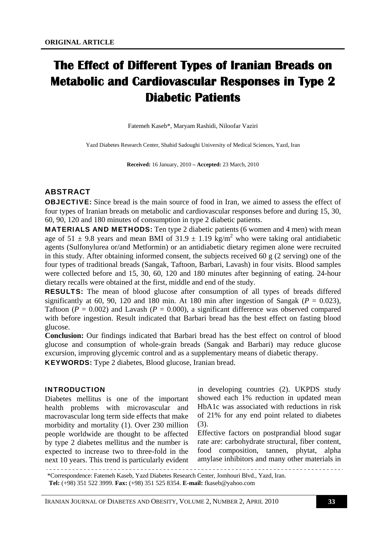# **The Effect of Different Types of Iranian Breads on Metabolic and Cardiovascular Responses in Type 2 Diabetic Patients**

Fatemeh Kaseb\*, Maryam Rashidi, Niloofar Vaziri

Yazd Diabetes Research Center, Shahid Sadoughi University of Medical Sciences, Yazd, Iran

**Received:** 16 January, 2010 **– Accepted:** 23 March, 2010

# ABSTRACT

OBJECTIVE: Since bread is the main source of food in Iran, we aimed to assess the effect of four types of Iranian breads on metabolic and cardiovascular responses before and during 15, 30, 60, 90, 120 and 180 minutes of consumption in type 2 diabetic patients.

MATERIALS AND METHODS: Ten type 2 diabetic patients (6 women and 4 men) with mean age of 51  $\pm$  9.8 years and mean BMI of 31.9  $\pm$  1.19 kg/m<sup>2</sup> who were taking oral antidiabetic agents (Sulfonylurea or/and Metformin) or an antidiabetic dietary regimen alone were recruited in this study. After obtaining informed consent, the subjects received 60 g (2 serving) one of the four types of traditional breads (Sangak, Taftoon, Barbari, Lavash) in four visits. Blood samples were collected before and 15, 30, 60, 120 and 180 minutes after beginning of eating. 24-hour dietary recalls were obtained at the first, middle and end of the study.

RESULTS: The mean of blood glucose after consumption of all types of breads differed significantly at 60, 90, 120 and 180 min. At 180 min after ingestion of Sangak ( $P = 0.023$ ), Taftoon ( $P = 0.002$ ) and Lavash ( $P = 0.000$ ), a significant difference was observed compared with before ingestion. Result indicated that Barbari bread has the best effect on fasting blood glucose.

**Conclusion:** Our findings indicated that Barbari bread has the best effect on control of blood glucose and consumption of whole-grain breads (Sangak and Barbari) may reduce glucose excursion, improving glycemic control and as a supplementary means of diabetic therapy.

KEYWORDS: Type 2 diabetes, Blood glucose, Iranian bread.

### INTRODUCTION

Diabetes mellitus is one of the important health problems with microvascular and macrovascular long term side effects that make morbidity and mortality (1). Over 230 million people worldwide are thought to be affected by type 2 diabetes mellitus and the number is expected to increase two to three-fold in the next 10 years. This trend is particularly evident

in developing countries (2). UKPDS study showed each 1% reduction in updated mean HbA1c was associated with reductions in risk of 21% for any end point related to diabetes (3).

Effective factors on postprandial blood sugar rate are: carbohydrate structural, fiber content, food composition, tannen, phytat, alpha amylase inhibitors and many other materials in

\*Correspondence: Fatemeh Kaseb, Yazd Diabetes Research Center, Jomhouri Blvd., Yazd, Iran.

**Tel:** (+98) 351 522 3999. **Fax:** (+98) 351 525 8354. **E-mail:** fkaseb@yahoo.com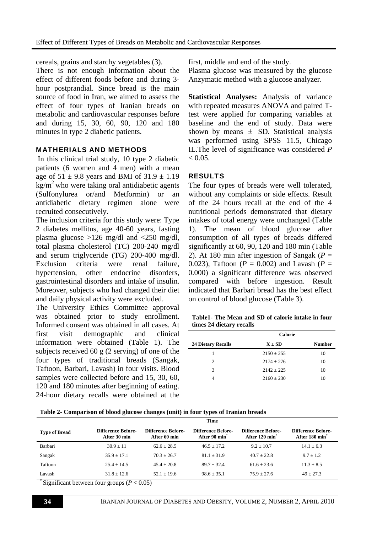cereals, grains and starchy vegetables (3).

There is not enough information about the effect of different foods before and during 3 hour postprandial. Since bread is the main source of food in Iran, we aimed to assess the effect of four types of Iranian breads on metabolic and cardiovascular responses before and during 15, 30, 60, 90, 120 and 180 minutes in type 2 diabetic patients.

## MATHERIALS AND METHODS

 In this clinical trial study, 10 type 2 diabetic patients (6 women and 4 men) with a mean age of  $51 \pm 9.8$  years and BMI of  $31.9 \pm 1.19$  $kg/m<sup>2</sup>$  who were taking oral antidiabetic agents (Sulfonylurea or/and Metformin) or an antidiabetic dietary regimen alone were recruited consecutively.

The inclusion criteria for this study were: Type 2 diabetes mellitus, age 40-60 years, fasting plasma glucose  $>126$  mg/dl and  $<250$  mg/dl, total plasma cholesterol (TC) 200-240 mg/dl and serum triglyceride (TG) 200-400 mg/dl. Exclusion criteria were renal failure, hypertension, other endocrine disorders, gastrointestinal disorders and intake of insulin. Moreover, subjects who had changed their diet and daily physical activity were excluded.

The University Ethics Committee approval was obtained prior to study enrollment. Informed consent was obtained in all cases. At first visit demographic and clinical information were obtained (Table 1). The subjects received 60 g  $(2 \text{ serving})$  of one of the four types of traditional breads (Sangak, Taftoon, Barbari, Lavash) in four visits. Blood samples were collected before and 15, 30, 60, 120 and 180 minutes after beginning of eating. 24-hour dietary recalls were obtained at the

first, middle and end of the study.

Plasma glucose was measured by the glucose Anzymatic method with a glucose analyzer.

**Statistical Analyses:** Analysis of variance with repeated measures ANOVA and paired Ttest were applied for comparing variables at baseline and the end of study. Data were shown by means  $\pm$  SD. Statistical analysis was performed using SPSS 11.5, Chicago IL.The level of significance was considered *P*  $< 0.05$ .

# RESULTS

The four types of breads were well tolerated, without any complaints or side effects. Result of the 24 hours recall at the end of the 4 nutritional periods demonstrated that dietary intakes of total energy were unchanged (Table 1). The mean of blood glucose after consumption of all types of breads differed significantly at 60, 90, 120 and 180 min (Table 2). At 180 min after ingestion of Sangak ( $P =$ 0.023), Taftoon ( $P = 0.002$ ) and Lavash ( $P =$ 0.000) a significant difference was observed compared with before ingestion. Result indicated that Barbari bread has the best effect on control of blood glucose (Table 3).

| Table1- The Mean and SD of calorie intake in four |  |  |
|---------------------------------------------------|--|--|
| times 24 dietary recalls                          |  |  |

|                           | <b>Calorie</b> |               |
|---------------------------|----------------|---------------|
| <b>24 Dietary Recalls</b> | $X \pm SD$     | <b>Number</b> |
|                           | $2150 \pm 255$ | 10            |
| $\mathfrak{D}$            | $2174 \pm 276$ | 10            |
| 3                         | $2142 + 225$   | 10            |
| Δ                         | $2160 \pm 230$ | 10            |

|  |  | Table 2- Comparison of blood glucose changes (unit) in four types of Iranian breads |  |
|--|--|-------------------------------------------------------------------------------------|--|
|  |  |                                                                                     |  |

|                                                                                                               | <b>Difference Before-</b><br>After 120 min <sup>*</sup>                                                         | <b>Difference Before-</b><br>After 180 min <sup>*</sup>                                                                                                             |
|---------------------------------------------------------------------------------------------------------------|-----------------------------------------------------------------------------------------------------------------|---------------------------------------------------------------------------------------------------------------------------------------------------------------------|
|                                                                                                               | $9.2 + 10.7$                                                                                                    | $14.1 \pm 6.3$                                                                                                                                                      |
|                                                                                                               | $40.7 + 22.8$                                                                                                   | $9.7 + 1.2$                                                                                                                                                         |
|                                                                                                               | $61.6 \pm 23.6$                                                                                                 | $11.3 \pm 8.5$                                                                                                                                                      |
|                                                                                                               | $75.9 + 27.6$                                                                                                   | $49 + 27.3$                                                                                                                                                         |
| <b>Difference Before-</b><br>After 30 min<br>$30.9 \pm 11$<br>$35.9 + 17.1$<br>$25.4 + 14.5$<br>$31.8 + 12.6$ | <b>Difference Before-</b><br>After 60 min<br>$62.6 + 28.5$<br>$70.3 + 26.7$<br>$45.4 + 20.8$<br>$52.1 \pm 19.6$ | <b>Difference Before-</b><br>After 90 min <sup>*</sup><br>$46.5 + 17.2$<br>$81.1 + 31.9$<br>$89.7 + 32.4$<br>$98.6 \pm 35.1$<br>$\sqrt{D}$ $\wedge$ $\wedge$ $\sim$ |

Significant between four groups ( $P < 0.05$ )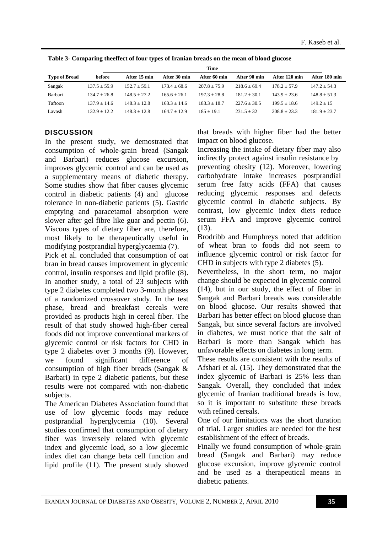|                      | <b>Time</b>    |                |                |                |                |                |                |
|----------------------|----------------|----------------|----------------|----------------|----------------|----------------|----------------|
| <b>Type of Bread</b> | before         | After 15 min   | After 30 min   | After 60 min   | After 90 min   | After 120 min  | After 180 min  |
| Sangak               | $137.5 + 55.9$ | $152.7 + 59.1$ | $173.4 + 68.6$ | $207.8 + 75.9$ | $218.6 + 69.4$ | $178.2 + 57.9$ | $147.2 + 54.3$ |
| Barbari              | $134.7 + 26.8$ | $148.5 + 27.2$ | $165.6 + 26.1$ | $197.3 + 28.8$ | $181.2 + 30.1$ | $143.9 + 23.6$ | $148.8 + 51.3$ |
| Taftoon              | $137.9 + 14.6$ | $148.3 + 12.8$ | $163.3 + 14.6$ | $183.3 + 18.7$ | $227.6 + 30.5$ | $199.5 + 18.6$ | $149.2 + 15$   |
| Lavash               | $132.9 + 12.2$ | $148.3 + 12.8$ | $164.7 + 12.9$ | $185 + 19.1$   | $231.5 + 32$   | $208.8 + 23.3$ | $181.9 + 23.7$ |
|                      |                |                |                |                |                |                |                |

**Table 3- Comparing theeffect of four types of Iranian breads on the mean of blood glucose** 

# **DISCUSSION**

In the present study, we demostrated that consumption of whole-grain bread (Sangak and Barbari) reduces glucose excursion, improves glycemic control and can be used as a supplementary means of diabetic therapy. Some studies show that fiber causes glycemic control in diabetic patients (4) and glucose tolerance in non-diabetic patients (5). Gastric emptying and paracetamol absorption were slower after gel fibre like guar and pectin (6). Viscous types of dietary fiber are, therefore, most likely to be therapeutically useful in modifying postprandial hyperglycaemia (7).

Pick et al. concluded that consumption of oat bran in bread causes improvement in glycemic control, insulin responses and lipid profile (8). In another study, a total of 23 subjects with type 2 diabetes completed two 3-month phases of a randomized crossover study. In the test phase, bread and breakfast cereals were provided as products high in cereal fiber. The result of that study showed high-fiber cereal foods did not improve conventional markers of glycemic control or risk factors for CHD in type 2 diabetes over 3 months (9). However, we found significant difference of consumption of high fiber breads (Sangak & Barbari) in type 2 diabetic patients, but these results were not compared with non-diabetic subjects.

The American Diabetes Association found that use of low glycemic foods may reduce postprandial hyperglycemia (10). Several studies confirmed that consumption of dietary fiber was inversely related with glycemic index and glycemic load, so a low glecemic index diet can change beta cell function and lipid profile (11). The present study showed

that breads with higher fiber had the better impact on blood glucose.

Increasing the intake of dietary fiber may also indirectly protect against insulin resistance by preventing obesity (12). Moreover, lowering carbohydrate intake increases postprandial serum free fatty acids (FFA) that causes reducing glycemic responses and defects glycemic control in diabetic subjects. By contrast, low glycemic index diets reduce serum FFA and improve glycemic control (13).

Brodribb and Humphreys noted that addition of wheat bran to foods did not seem to influence glycemic control or risk factor for CHD in subjects with type 2 diabetes (5).

Nevertheless, in the short term, no major change should be expected in glycemic control (14), but in our study, the effect of fiber in Sangak and Barbari breads was considerable on blood glucose. Our results showed that Barbari has better effect on blood glucose than Sangak, but since several factors are involved in diabetes, we must notice that the salt of Barbari is more than Sangak which has unfavorable effects on diabetes in long term.

These results are consistent with the results of Afshari et al. (15). They demonstrated that the index glycemic of Barbari is 25% less than Sangak. Overall, they concluded that index glycemic of Iranian traditional breads is low, so it is important to substitute these breads with refined cereals.

One of our limitations was the short duration of trial. Larger studies are needed for the best establishment of the effect of breads.

Finally we found consumption of whole-grain bread (Sangak and Barbari) may reduce glucose excursion, improve glycemic control and be used as a therapeutical means in diabetic patients.